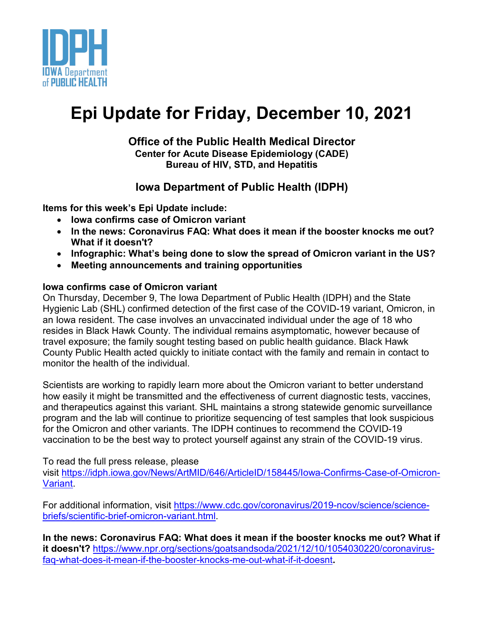

# **Epi Update for Friday, December 10, 2021**

#### **Office of the Public Health Medical Director Center for Acute Disease Epidemiology (CADE) Bureau of HIV, STD, and Hepatitis**

### **Iowa Department of Public Health (IDPH)**

**Items for this week's Epi Update include:**

- **Iowa confirms case of Omicron variant**
- **In the news: Coronavirus FAQ: What does it mean if the booster knocks me out? What if it doesn't?**
- **Infographic: What's being done to slow the spread of Omicron variant in the US?**
- **Meeting announcements and training opportunities**

#### **Iowa confirms case of Omicron variant**

On Thursday, December 9, The Iowa Department of Public Health (IDPH) and the State Hygienic Lab (SHL) confirmed detection of the first case of the COVID-19 variant, Omicron, in an Iowa resident. The case involves an unvaccinated individual under the age of 18 who resides in Black Hawk County. The individual remains asymptomatic, however because of travel exposure; the family sought testing based on public health guidance. Black Hawk County Public Health acted quickly to initiate contact with the family and remain in contact to monitor the health of the individual.

Scientists are working to rapidly learn more about the Omicron variant to better understand how easily it might be transmitted and the effectiveness of current diagnostic tests, vaccines, and therapeutics against this variant. SHL maintains a strong statewide genomic surveillance program and the lab will continue to prioritize sequencing of test samples that look suspicious for the Omicron and other variants. The IDPH continues to recommend the COVID-19 vaccination to be the best way to protect yourself against any strain of the COVID-19 virus.

To read the full press release, please

visit [https://idph.iowa.gov/News/ArtMID/646/ArticleID/158445/Iowa-Confirms-Case-of-Omicron-](https://idph.iowa.gov/News/ArtMID/646/ArticleID/158445/Iowa-Confirms-Case-of-Omicron-Variant)[Variant.](https://idph.iowa.gov/News/ArtMID/646/ArticleID/158445/Iowa-Confirms-Case-of-Omicron-Variant)

For additional information, visit [https://www.cdc.gov/coronavirus/2019-ncov/science/science](https://www.cdc.gov/coronavirus/2019-ncov/science/science-briefs/scientific-brief-omicron-variant.html)[briefs/scientific-brief-omicron-variant.html.](https://www.cdc.gov/coronavirus/2019-ncov/science/science-briefs/scientific-brief-omicron-variant.html)

**In the news: Coronavirus FAQ: What does it mean if the booster knocks me out? What if it doesn't?** [https://www.npr.org/sections/goatsandsoda/2021/12/10/1054030220/coronavirus](https://www.npr.org/sections/goatsandsoda/2021/12/10/1054030220/coronavirus-faq-what-does-it-mean-if-the-booster-knocks-me-out-what-if-it-doesnt)[faq-what-does-it-mean-if-the-booster-knocks-me-out-what-if-it-doesnt](https://www.npr.org/sections/goatsandsoda/2021/12/10/1054030220/coronavirus-faq-what-does-it-mean-if-the-booster-knocks-me-out-what-if-it-doesnt)**.**